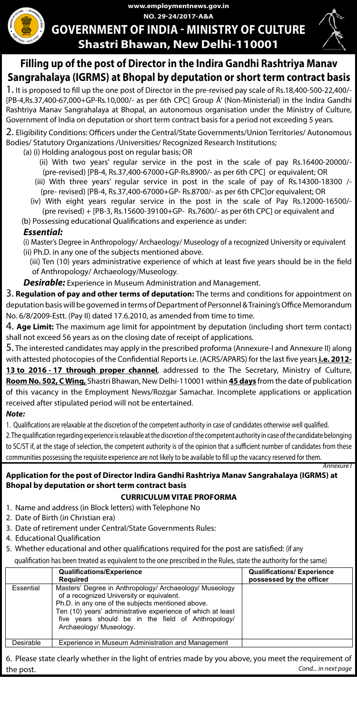**NO. 29-24/2017-A&A www.employmentnews.gov.in** 

# **GOVERNMENT OF INDIA - MINISTRY OF CULTURE Shastri Bhawan, New Delhi-110001**



*Annexure I*

## **Filling up of the post of Director in the Indira Gandhi Rashtriya Manav Sangrahalaya (IGRMS) at Bhopal by deputation or short term contract basis**

1. It is proposed to fill up the one post of Director in the pre-revised pay scale of Rs.18,400-500-22,400/- [PB-4,Rs.37,400-67,000+GP-Rs.10,000/- as per 6th CPC] Group Á' (Non-Ministerial) in the Indira Gandhi Rashtriya Manav Sangrahalaya at Bhopal, an autonomous organisation under the Ministry of Culture, Government of India on deputation or short term contract basis for a period not exceeding 5 years.

2. Eligibility Conditions: Officers under the Central/State Governments/Union Territories/ Autonomous Bodies/ Statutory Organizations /Universities/ Recognized Research Institutions;

- (a) (i) Holding analogous post on regular basis; OR
	- (ii) With two years' regular service in the post in the scale of pay Rs.16400-20000/- (pre-revised) [PB-4, Rs.37,400-67000+GP-Rs.8900/- as per 6th CPC] or equivalent; OR
	- (iii) With three years' regular service in post in the scale of pay of Rs.14300-18300 /- (pre- revised) [PB-4, Rs.37,400-67000+GP- Rs.8700/- as per 6th CPC]or equivalent; OR
- (iv) With eight years regular service in the post in the scale of Pay Rs.12000-16500/- (pre revised) + [PB-3, Rs.15600-39100+GP- Rs.7600/- as per 6th CPC] or equivalent and (b) Possessing educational Qualifications and experience as under:

## *Essential:*

 (i) Master's Degree in Anthropology/ Archaeology/ Museology of a recognized University or equivalent (ii) Ph.D. in any one of the subjects mentioned above.

- (iii) Ten (10) years administrative experience of which at least five years should be in the field of Anthropology/ Archaeology/Museology.
- *Desirable:* Experience in Museum Administration and Management.

3. **Regulation of pay and other terms of deputation:** The terms and conditions for appointment on deputation basis will be governed in terms of Department of Personnel & Training's Office Memorandum No. 6/8/2009-Estt. (Pay II) dated 17.6.2010, as amended from time to time.

4. **Age Limit:** The maximum age limit for appointment by deputation (including short term contact) shall not exceed 56 years as on the closing date of receipt of applications.

5. The interested candidates may apply in the prescribed proforma (Annexure-I and Annexure II) along with attested photocopies of the Confidential Reports i.e. (ACRS/APARS) for the last five years **i.e. 2012-** 13 to 2016 - 17 through proper channel, addressed to the The Secretary, Ministry of Culture, **Room No. 502, C Wing,** Shastri Bhawan, New Delhi-110001 within **45 days** from the date of publication of this vacancy in the Employment News/Rozgar Samachar. Incomplete applications or application received after stipulated period will not be entertained.

## *Note:*

1. Qualifications are relaxable at the discretion of the competent authority in case of candidates otherwise well qualified.

2. The qualification regarding experience is relaxable at the discretion of the competent authority in case of the candidate belonging to SC/ST if, at the stage of selection, the competent authority is of the opinion that a sufficient number of candidates from these communities possessing the requisite experience are not likely to be available to fill up the vacancy reserved for them.

## **Application for the post of Director Indira Gandhi Rashtriya Manav Sangrahalaya (IGRMS) at Bhopal by deputation or short term contract basis**

## **CURRICULUM VITAE PROFORMA**

- 1. Name and address (in Block letters) with Telephone No
- 2. Date of Birth (in Christian era)
- 3. Date of retirement under Central/State Governments Rules:
- 4. Educational Qualification
- 5. Whether educational and other qualifications required for the post are satisfied: (if any

qualification has been treated as equivalent to the one prescribed in the Rules, state the authority for the same)

|           | <b>Qualifications/Experience</b><br><b>Required</b>                                                                                                                                                                                                                                                       | <b>Qualifications/ Experience</b><br>possessed by the officer |
|-----------|-----------------------------------------------------------------------------------------------------------------------------------------------------------------------------------------------------------------------------------------------------------------------------------------------------------|---------------------------------------------------------------|
| Essential | Masters' Degree in Anthropology/ Archaeology/ Museology<br>of a recognized University or equivalent.<br>Ph.D. in any one of the subjects mentioned above.<br>Ten (10) years' administrative experience of which at least<br>five years should be in the field of Anthropology/<br>Archaeology/ Museology. |                                                               |
| Desirable | Experience in Museum Administration and Management                                                                                                                                                                                                                                                        |                                                               |

6. Please state clearly whether in the light of entries made by you above, you meet the requirement of the post. *Cond... in next page*